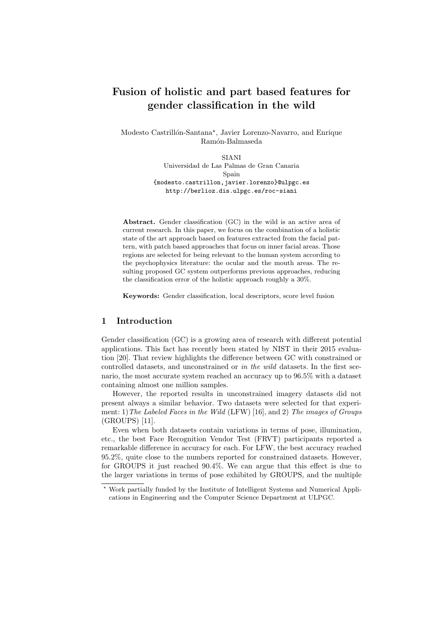# Fusion of holistic and part based features for gender classification in the wild

Modesto Castrillón-Santana<sup>\*</sup>, Javier Lorenzo-Navarro, and Enrique Ram´on-Balmaseda

> SIANI Universidad de Las Palmas de Gran Canaria Spain {modesto.castrillon,javier.lorenzo}@ulpgc.es http://berlioz.dis.ulpgc.es/roc-siani

Abstract. Gender classification (GC) in the wild is an active area of current research. In this paper, we focus on the combination of a holistic state of the art approach based on features extracted from the facial pattern, with patch based approaches that focus on inner facial areas. Those regions are selected for being relevant to the human system according to the psychophysics literature: the ocular and the mouth areas. The resulting proposed GC system outperforms previous approaches, reducing the classification error of the holistic approach roughly a 30%.

Keywords: Gender classification, local descriptors, score level fusion

# 1 Introduction

Gender classification (GC) is a growing area of research with different potential applications. This fact has recently been stated by NIST in their 2015 evaluation [20]. That review highlights the difference between GC with constrained or controlled datasets, and unconstrained or in the wild datasets. In the first scenario, the most accurate system reached an accuracy up to 96.5% with a dataset containing almost one million samples.

However, the reported results in unconstrained imagery datasets did not present always a similar behavior. Two datasets were selected for that experiment: 1) The Labeled Faces in the Wild (LFW) [16], and 2) The images of Groups (GROUPS) [11].

Even when both datasets contain variations in terms of pose, illumination, etc., the best Face Recognition Vendor Test (FRVT) participants reported a remarkable difference in accuracy for each. For LFW, the best accuracy reached 95.2%, quite close to the numbers reported for constrained datasets. However, for GROUPS it just reached 90.4%. We can argue that this effect is due to the larger variations in terms of pose exhibited by GROUPS, and the multiple

<sup>?</sup> Work partially funded by the Institute of Intelligent Systems and Numerical Applications in Engineering and the Computer Science Department at ULPGC.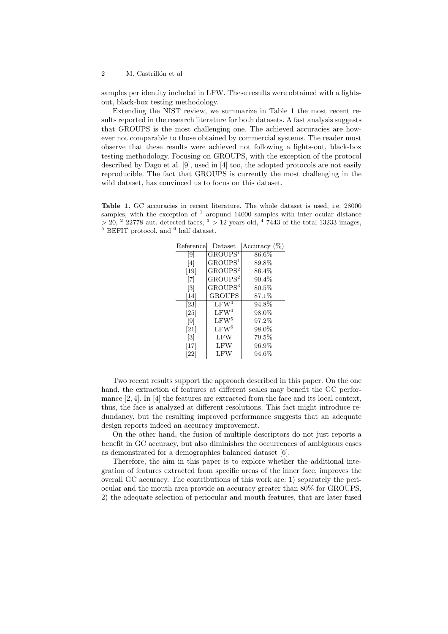#### 2 M. Castrillón et al

samples per identity included in LFW. These results were obtained with a lightsout, black-box testing methodology.

Extending the NIST review, we summarize in Table 1 the most recent results reported in the research literature for both datasets. A fast analysis suggests that GROUPS is the most challenging one. The achieved accuracies are however not comparable to those obtained by commercial systems. The reader must observe that these results were achieved not following a lights-out, black-box testing methodology. Focusing on GROUPS, with the exception of the protocol described by Dago et al. [9], used in [4] too, the adopted protocols are not easily reproducible. The fact that GROUPS is currently the most challenging in the wild dataset, has convinced us to focus on this dataset.

Table 1. GC accuracies in recent literature. The whole dataset is used, i.e. 28000 samples, with the exception of  $<sup>1</sup>$  aropund 14000 samples with inter ocular distance</sup>  $>$  20, <sup>2</sup> 22778 aut. detected faces, <sup>3</sup>  $>$  12 years old, <sup>4</sup> 7443 of the total 13233 images,  $^5$  BEFIT protocol, and  $^6$  half dataset.

| Reference                                                                                                                                                                      | $\text{Data}$       | Accuracy (%) |
|--------------------------------------------------------------------------------------------------------------------------------------------------------------------------------|---------------------|--------------|
| $\left[ 9 \right]$                                                                                                                                                             | GROUPS <sup>1</sup> | $86.6\%$     |
| $[4] % \includegraphics[width=0.9\columnwidth]{images/TrDiM1.png} % \caption{\label{TrDiM1} \includegraphics[width=0.9\columnwidth]{images/TrDiM1.png} % \label{TrDiM2.png} %$ | $\mathrm{GROUPS}^1$ | 89.8%        |
| $[19]$                                                                                                                                                                         | GROUPS <sup>2</sup> | $86.4\%$     |
| 171                                                                                                                                                                            | GROUPS <sup>2</sup> | $90.4\%$     |
| $\left\lceil 3 \right\rceil$                                                                                                                                                   | GROUPS <sup>3</sup> | $80.5\%$     |
| $[14]$                                                                                                                                                                         | <b>GROUPS</b>       | 87.1%        |
| $\left[ 23\right]$                                                                                                                                                             | LFW <sup>4</sup>    | 94.8%        |
| [25]                                                                                                                                                                           | LFW <sup>4</sup>    | 98.0%        |
| $\left\lceil 9 \right\rceil$                                                                                                                                                   | LFW <sup>5</sup>    | 97.2%        |
| [21]                                                                                                                                                                           | LFW <sup>6</sup>    | 98.0%        |
| $\left\lceil 3 \right\rceil$                                                                                                                                                   | <b>LFW</b>          | 79.5%        |
| [17]                                                                                                                                                                           | LFW                 | $96.9\%$     |
| 22                                                                                                                                                                             | LFW                 | $94.6\%$     |

Two recent results support the approach described in this paper. On the one hand, the extraction of features at different scales may benefit the GC performance [2, 4]. In [4] the features are extracted from the face and its local context, thus, the face is analyzed at different resolutions. This fact might introduce redundancy, but the resulting improved performance suggests that an adequate design reports indeed an accuracy improvement.

On the other hand, the fusion of multiple descriptors do not just reports a benefit in GC accuracy, but also diminishes the occurrences of ambiguous cases as demonstrated for a demographics balanced dataset [6].

Therefore, the aim in this paper is to explore whether the additional integration of features extracted from specific areas of the inner face, improves the overall GC accuracy. The contributions of this work are: 1) separately the periocular and the mouth area provide an accuracy greater than 80% for GROUPS, 2) the adequate selection of periocular and mouth features, that are later fused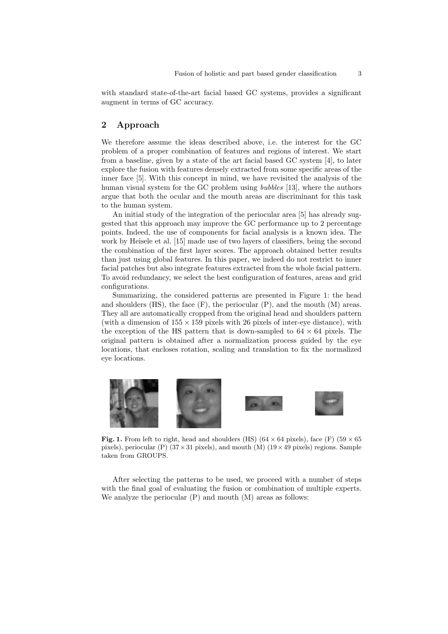with standard state-of-the-art facial based GC systems, provides a significant augment in terms of GC accuracy.

# 2 Approach

We therefore assume the ideas described above, i.e. the interest for the GC problem of a proper combination of features and regions of interest. We start from a baseline, given by a state of the art facial based GC system [4], to later explore the fusion with features densely extracted from some specific areas of the inner face [5]. With this concept in mind, we have revisited the analysis of the human visual system for the GC problem using bubbles [13], where the authors argue that both the ocular and the mouth areas are discriminant for this task to the human system.

An initial study of the integration of the periocular area [5] has already suggested that this approach may improve the GC performance up to 2 percentage points. Indeed, the use of components for facial analysis is a known idea. The work by Heisele et al. [15] made use of two layers of classifiers, being the second the combination of the first layer scores. The approach obtained better results than just using global features. In this paper, we indeed do not restrict to inner facial patches but also integrate features extracted from the whole facial pattern. To avoid redundancy, we select the best configuration of features, areas and grid configurations.

Summarizing, the considered patterns are presented in Figure 1: the head and shoulders  $(HS)$ , the face  $(F)$ , the periocular  $(P)$ , and the mouth  $(M)$  areas. They all are automatically cropped from the original head and shoulders pattern (with a dimension of  $155 \times 159$  pixels with 26 pixels of inter-eye distance), with the exception of the HS pattern that is down-sampled to  $64 \times 64$  pixels. The original pattern is obtained after a normalization process guided by the eye locations, that encloses rotation, scaling and translation to fix the normalized eye locations.



Fig. 1. From left to right, head and shoulders (HS) (64  $\times$  64 pixels), face (F) (59  $\times$  65 pixels), periocular (P)  $(37 \times 31 \text{ pixels})$ , and mouth (M)  $(19 \times 49 \text{ pixels})$  regions. Sample taken from GROUPS.

After selecting the patterns to be used, we proceed with a number of steps with the final goal of evaluating the fusion or combination of multiple experts. We analyze the periocular  $(P)$  and mouth  $(M)$  areas as follows: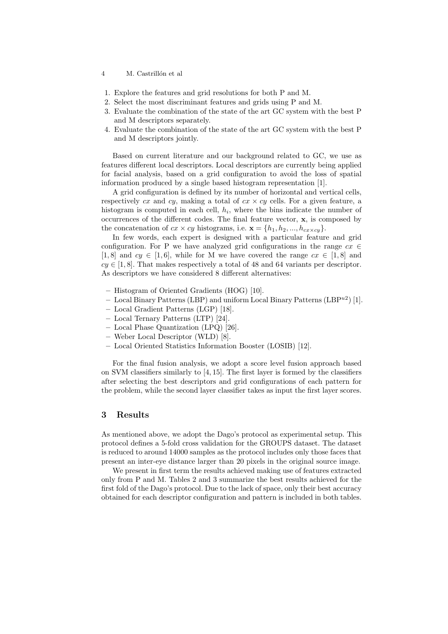#### 4 M. Castrillón et al

- 1. Explore the features and grid resolutions for both P and M.
- 2. Select the most discriminant features and grids using P and M.
- 3. Evaluate the combination of the state of the art GC system with the best P and M descriptors separately.
- 4. Evaluate the combination of the state of the art GC system with the best P and M descriptors jointly.

Based on current literature and our background related to GC, we use as features different local descriptors. Local descriptors are currently being applied for facial analysis, based on a grid configuration to avoid the loss of spatial information produced by a single based histogram representation [1].

A grid configuration is defined by its number of horizontal and vertical cells, respectively  $cx$  and  $cy$ , making a total of  $cx \times cy$  cells. For a given feature, a histogram is computed in each cell,  $h_i$ , where the bins indicate the number of occurrences of the different codes. The final feature vector, x, is composed by the concatenation of  $cx \times cy$  histograms, i.e.  $\mathbf{x} = \{h_1, h_2, ..., h_{cx \times cy}\}.$ 

In few words, each expert is designed with a particular feature and grid configuration. For P we have analyzed grid configurations in the range  $cx \in$ [1,8] and  $cy \in [1,6]$ , while for M we have covered the range  $cx \in [1,8]$  and  $cy \in [1, 8]$ . That makes respectively a total of 48 and 64 variants per descriptor. As descriptors we have considered 8 different alternatives:

- Histogram of Oriented Gradients (HOG) [10].
- Local Binary Patterns (LBP) and uniform Local Binary Patterns (LBP $^{u2}$ ) [1].
- Local Gradient Patterns (LGP) [18].
- Local Ternary Patterns (LTP) [24].
- Local Phase Quantization (LPQ) [26].
- Weber Local Descriptor (WLD) [8].
- Local Oriented Statistics Information Booster (LOSIB) [12].

For the final fusion analysis, we adopt a score level fusion approach based on SVM classifiers similarly to [4, 15]. The first layer is formed by the classifiers after selecting the best descriptors and grid configurations of each pattern for the problem, while the second layer classifier takes as input the first layer scores.

## 3 Results

As mentioned above, we adopt the Dago's protocol as experimental setup. This protocol defines a 5-fold cross validation for the GROUPS dataset. The dataset is reduced to around 14000 samples as the protocol includes only those faces that present an inter-eye distance larger than 20 pixels in the original source image.

We present in first term the results achieved making use of features extracted only from P and M. Tables 2 and 3 summarize the best results achieved for the first fold of the Dago's protocol. Due to the lack of space, only their best accuracy obtained for each descriptor configuration and pattern is included in both tables.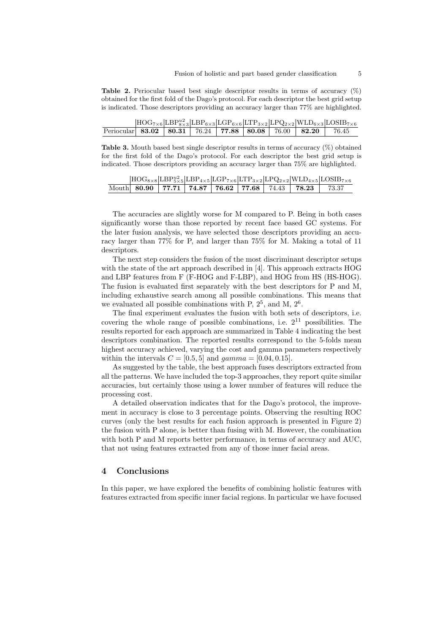**Table 2.** Periocular based best single descriptor results in terms of accuracy  $(\%)$ obtained for the first fold of the Dago's protocol. For each descriptor the best grid setup is indicated. Those descriptors providing an accuracy larger than 77% are highlighted.

|                                                                  |  |  |  | $[\text{HOG}_{7\times6} \text{LBP}_{8\times3}^{u2}  \text{LBP}_{6\times3} \text{LGP}_{6\times6} \text{LTP}_{3\times2} \text{LPQ}_{2\times2} \text{WLD}_{6\times3} \text{LOSIB}_{7\times6}$ |
|------------------------------------------------------------------|--|--|--|--------------------------------------------------------------------------------------------------------------------------------------------------------------------------------------------|
| Periocular 83.02   80.31   76.24   77.88   80.08   76.00   82.20 |  |  |  | 76.45                                                                                                                                                                                      |

**Table 3.** Mouth based best single descriptor results in terms of accuracy  $(\%)$  obtained for the first fold of the Dago's protocol. For each descriptor the best grid setup is indicated. Those descriptors providing an accuracy larger than 75% are highlighted.

|  |  |  |                                                                     | $[\text{HOG}_{8\times8} \text{LBP}_{5\times5}^{u2}  \text{LBP}_{4\times5} \text{LGP}_{7\times6} \text{LTP}_{3\times2} \text{LPQ}_{2\times2} \text{WLD}_{4\times5} \text{LOSIB}_{7\times6}$ |
|--|--|--|---------------------------------------------------------------------|--------------------------------------------------------------------------------------------------------------------------------------------------------------------------------------------|
|  |  |  | Mouth 80.90   77.71   74.87   76.62   77.68   74.43   78.23   73.37 |                                                                                                                                                                                            |

The accuracies are slightly worse for M compared to P. Being in both cases significantly worse than those reported by recent face based GC systems. For the later fusion analysis, we have selected those descriptors providing an accuracy larger than 77% for P, and larger than 75% for M. Making a total of 11 descriptors.

The next step considers the fusion of the most discriminant descriptor setups with the state of the art approach described in [4]. This approach extracts HOG and LBP features from F (F-HOG and F-LBP), and HOG from HS (HS-HOG). The fusion is evaluated first separately with the best descriptors for P and M, including exhaustive search among all possible combinations. This means that we evaluated all possible combinations with P,  $2^5$ , and M,  $2^6$ .

The final experiment evaluates the fusion with both sets of descriptors, i.e. covering the whole range of possible combinations, i.e.  $2^{11}$  possibilities. The results reported for each approach are summarized in Table 4 indicating the best descriptors combination. The reported results correspond to the 5-folds mean highest accuracy achieved, varying the cost and gamma parameters respectively within the intervals  $C = [0.5, 5]$  and  $gamma = [0.04, 0.15]$ .

As suggested by the table, the best approach fuses descriptors extracted from all the patterns. We have included the top-3 approaches, they report quite similar accuracies, but certainly those using a lower number of features will reduce the processing cost.

A detailed observation indicates that for the Dago's protocol, the improvement in accuracy is close to 3 percentage points. Observing the resulting ROC curves (only the best results for each fusion approach is presented in Figure 2) the fusion with P alone, is better than fusing with M. However, the combination with both P and M reports better performance, in terms of accuracy and AUC, that not using features extracted from any of those inner facial areas.

#### 4 Conclusions

In this paper, we have explored the benefits of combining holistic features with features extracted from specific inner facial regions. In particular we have focused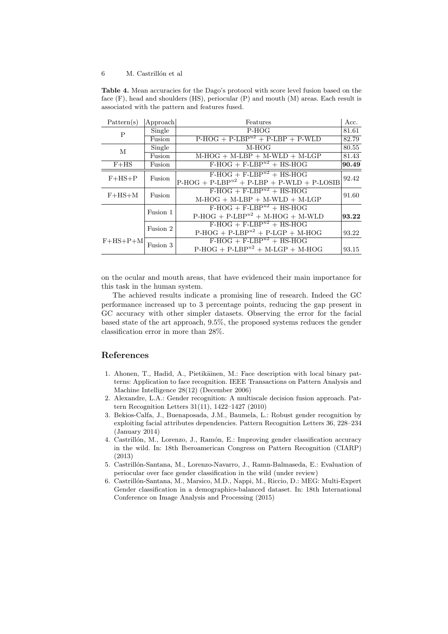#### 6 M. Castrillón et al

Table 4. Mean accuracies for the Dago's protocol with score level fusion based on the face (F), head and shoulders (HS), periocular (P) and mouth (M) areas. Each result is associated with the pattern and features fused.

| Pattern(s)                                  | Approach | Features                                    | Acc.  |  |  |
|---------------------------------------------|----------|---------------------------------------------|-------|--|--|
| P                                           | Single   | P-HOG                                       |       |  |  |
| $P-HOG + P-LBPu2 + P-LBP + P-WLD$<br>Fusion |          |                                             |       |  |  |
| М                                           | Single   | $M-HOG$                                     | 80.55 |  |  |
|                                             | Fusion   | $M-HOG + M-LBP + M-WLD + M-LGP$             |       |  |  |
| $F+HS$                                      | Fusion   | $F-HOG + F-LBPu2 + HS-HOG$                  | 90.49 |  |  |
|                                             | Fusion   | $F-HOG + F-LBPu2 + HS-HOG$                  | 92.42 |  |  |
| $F+HS+P$                                    |          | $P-HOG + P-LBPu2 + P-LBP + P-WLD + P-LOSIB$ |       |  |  |
| $F+HS+M$                                    | Fusion   | $F-HOG + F-LBPu2 + HS-HOG$                  | 91.60 |  |  |
|                                             |          | $M-HOG + M-LBP + M-WLD + M-LGP$             |       |  |  |
|                                             | Fusion 1 | $F-HOG + F-LBPu2 + HS-HOG$                  |       |  |  |
|                                             |          | $P-HOG + P-LBPu2 + M-HOG + M-WLD$           | 93.22 |  |  |
| Fusion 2                                    |          | $F-HOG + F-LBPu2 + HS-HOG$                  |       |  |  |
|                                             |          | $P-HOG + P-LBPu2 + P-LGP + M-HOG$           | 93.22 |  |  |
| $F+HS+P+M$                                  | Fusion 3 | $F-HOG + F-LBPu2 + HS-HOG$                  |       |  |  |
|                                             |          | $P-HOG + P-LBPu2 + M-LGP + M-HOG$           | 93.15 |  |  |

on the ocular and mouth areas, that have evidenced their main importance for this task in the human system.

The achieved results indicate a promising line of research. Indeed the GC performance increased up to 3 percentage points, reducing the gap present in GC accuracy with other simpler datasets. Observing the error for the facial based state of the art approach, 9.5%, the proposed systems reduces the gender classification error in more than 28%.

### References

- 1. Ahonen, T., Hadid, A., Pietikäinen, M.: Face description with local binary patterns: Application to face recognition. IEEE Transactions on Pattern Analysis and Machine Intelligence 28(12) (December 2006)
- 2. Alexandre, L.A.: Gender recognition: A multiscale decision fusion approach. Pattern Recognition Letters 31(11), 1422–1427 (2010)
- 3. Bekios-Calfa, J., Buenaposada, J.M., Baumela, L.: Robust gender recognition by exploiting facial attributes dependencies. Pattern Recognition Letters 36, 228–234 (January 2014)
- 4. Castrillón, M., Lorenzo, J., Ramón, E.: Improving gender classification accuracy in the wild. In: 18th Iberoamerican Congress on Pattern Recognition (CIARP) (2013)
- 5. Castrillón-Santana, M., Lorenzo-Navarro, J., Ramn-Balmaseda, E.: Evaluation of periocular over face gender classification in the wild (under review)
- 6. Castrill´on-Santana, M., Marsico, M.D., Nappi, M., Riccio, D.: MEG: Multi-Expert Gender classification in a demographics-balanced dataset. In: 18th International Conference on Image Analysis and Processing (2015)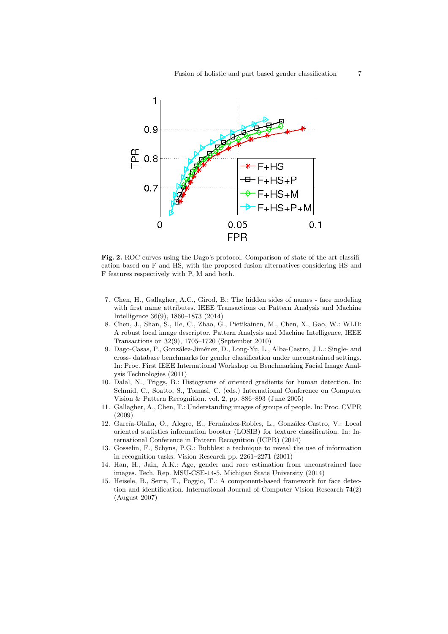

Fig. 2. ROC curves using the Dago's protocol. Comparison of state-of-the-art classification based on F and HS, with the proposed fusion alternatives considering HS and F features respectively with P, M and both.

- 7. Chen, H., Gallagher, A.C., Girod, B.: The hidden sides of names face modeling with first name attributes. IEEE Transactions on Pattern Analysis and Machine Intelligence 36(9), 1860–1873 (2014)
- 8. Chen, J., Shan, S., He, C., Zhao, G., Pietikainen, M., Chen, X., Gao, W.: WLD: A robust local image descriptor. Pattern Analysis and Machine Intelligence, IEEE Transactions on 32(9), 1705–1720 (September 2010)
- 9. Dago-Casas, P., González-Jiménez, D., Long-Yu, L., Alba-Castro, J.L.: Single- and cross- database benchmarks for gender classification under unconstrained settings. In: Proc. First IEEE International Workshop on Benchmarking Facial Image Analysis Technologies (2011)
- 10. Dalal, N., Triggs, B.: Histograms of oriented gradients for human detection. In: Schmid, C., Soatto, S., Tomasi, C. (eds.) International Conference on Computer Vision & Pattern Recognition. vol. 2, pp. 886–893 (June 2005)
- 11. Gallagher, A., Chen, T.: Understanding images of groups of people. In: Proc. CVPR (2009)
- 12. García-Olalla, O., Alegre, E., Fernández-Robles, L., González-Castro, V.: Local oriented statistics information booster (LOSIB) for texture classification. In: International Conference in Pattern Recognition (ICPR) (2014)
- 13. Gosselin, F., Schyns, P.G.: Bubbles: a technique to reveal the use of information in recognition tasks. Vision Research pp. 2261–2271 (2001)
- 14. Han, H., Jain, A.K.: Age, gender and race estimation from unconstrained face images. Tech. Rep. MSU-CSE-14-5, Michigan State University (2014)
- 15. Heisele, B., Serre, T., Poggio, T.: A component-based framework for face detection and identification. International Journal of Computer Vision Research 74(2) (August 2007)